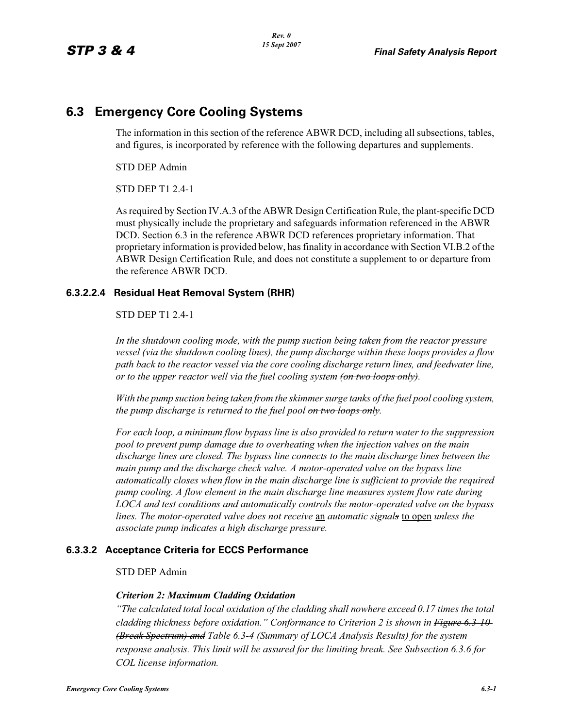# **6.3 Emergency Core Cooling Systems**

The information in this section of the reference ABWR DCD, including all subsections, tables, and figures, is incorporated by reference with the following departures and supplements.

STD DEP Admin

STD DEP T1 2.4-1

As required by Section IV.A.3 of the ABWR Design Certification Rule, the plant-specific DCD must physically include the proprietary and safeguards information referenced in the ABWR DCD. Section 6.3 in the reference ABWR DCD references proprietary information. That proprietary information is provided below, has finality in accordance with Section VI.B.2 of the ABWR Design Certification Rule, and does not constitute a supplement to or departure from the reference ABWR DCD.

#### **6.3.2.2.4 Residual Heat Removal System (RHR)**

STD DEP T1 2.4-1

*In the shutdown cooling mode, with the pump suction being taken from the reactor pressure vessel (via the shutdown cooling lines), the pump discharge within these loops provides a flow path back to the reactor vessel via the core cooling discharge return lines, and feedwater line, or to the upper reactor well via the fuel cooling system (on two loops only).*

*With the pump suction being taken from the skimmer surge tanks of the fuel pool cooling system, the pump discharge is returned to the fuel pool on two loops only.*

*For each loop, a minimum flow bypass line is also provided to return water to the suppression pool to prevent pump damage due to overheating when the injection valves on the main discharge lines are closed. The bypass line connects to the main discharge lines between the main pump and the discharge check valve. A motor-operated valve on the bypass line automatically closes when flow in the main discharge line is sufficient to provide the required pump cooling. A flow element in the main discharge line measures system flow rate during LOCA and test conditions and automatically controls the motor-operated valve on the bypass lines. The motor-operated valve does not receive* an *automatic signals* to open *unless the associate pump indicates a high discharge pressure.*

#### **6.3.3.2 Acceptance Criteria for ECCS Performance**

#### STD DEP Admin

#### *Criterion 2: Maximum Cladding Oxidation*

*"The calculated total local oxidation of the cladding shall nowhere exceed 0.17 times the total cladding thickness before oxidation." Conformance to Criterion 2 is shown in Figure 6.3-10 (Break Spectrum) and Table 6.3-4 (Summary of LOCA Analysis Results) for the system response analysis. This limit will be assured for the limiting break. See Subsection 6.3.6 for COL license information.*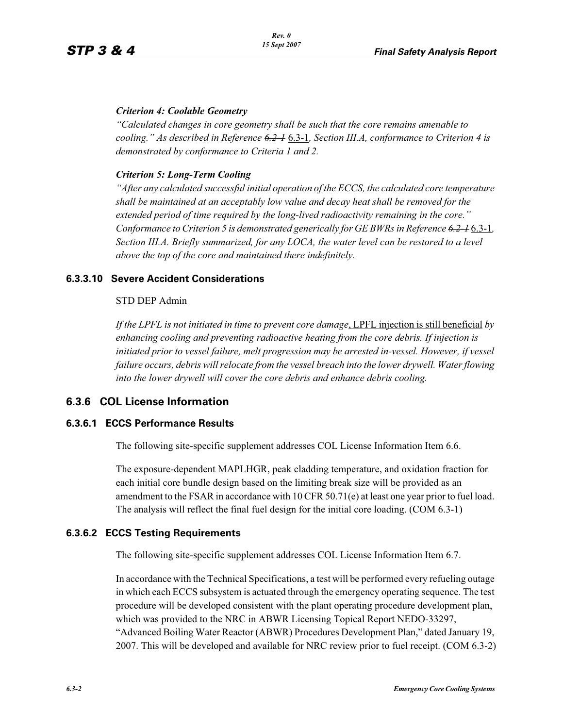#### *Criterion 4: Coolable Geometry*

*"Calculated changes in core geometry shall be such that the core remains amenable to cooling." As described in Reference 6.2-1* 6.3-1*, Section III.A, conformance to Criterion 4 is demonstrated by conformance to Criteria 1 and 2.*

#### *Criterion 5: Long-Term Cooling*

*"After any calculated successful initial operation of the ECCS, the calculated core temperature shall be maintained at an acceptably low value and decay heat shall be removed for the extended period of time required by the long-lived radioactivity remaining in the core." Conformance to Criterion 5 is demonstrated generically for GE BWRs in Reference 6.2-1* 6.3-1*, Section III.A. Briefly summarized, for any LOCA, the water level can be restored to a level above the top of the core and maintained there indefinitely.*

# **6.3.3.10 Severe Accident Considerations**

#### STD DEP Admin

*If the LPFL is not initiated in time to prevent core damage*, LPFL injection is still beneficial *by enhancing cooling and preventing radioactive heating from the core debris. If injection is*  initiated prior to vessel failure, melt progression may be arrested in-vessel. However, if vessel *failure occurs, debris will relocate from the vessel breach into the lower drywell. Water flowing into the lower drywell will cover the core debris and enhance debris cooling.*

# **6.3.6 COL License Information**

# **6.3.6.1 ECCS Performance Results**

The following site-specific supplement addresses COL License Information Item 6.6.

The exposure-dependent MAPLHGR, peak cladding temperature, and oxidation fraction for each initial core bundle design based on the limiting break size will be provided as an amendment to the FSAR in accordance with 10 CFR 50.71(e) at least one year prior to fuel load. The analysis will reflect the final fuel design for the initial core loading. (COM 6.3-1)

# **6.3.6.2 ECCS Testing Requirements**

The following site-specific supplement addresses COL License Information Item 6.7.

In accordance with the Technical Specifications, a test will be performed every refueling outage in which each ECCS subsystem is actuated through the emergency operating sequence. The test procedure will be developed consistent with the plant operating procedure development plan, which was provided to the NRC in ABWR Licensing Topical Report NEDO-33297, "Advanced Boiling Water Reactor (ABWR) Procedures Development Plan," dated January 19, 2007. This will be developed and available for NRC review prior to fuel receipt. (COM 6.3-2)